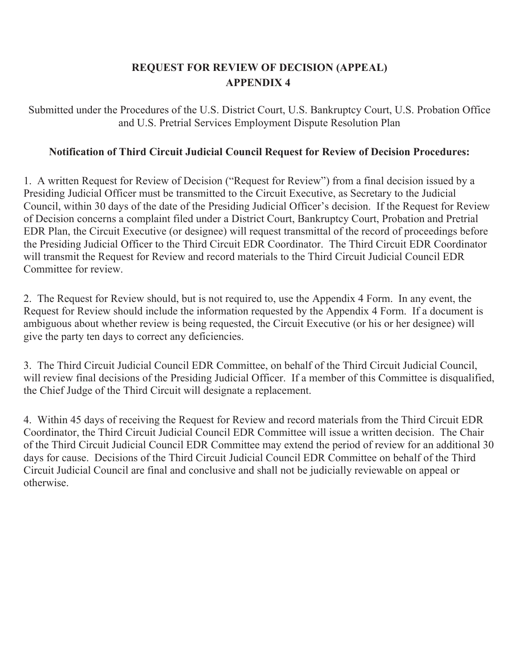## **REQUEST FOR REVIEW OF DECISION (APPEAL) APPENDIX 4**

Submitted under the Procedures of the U.S. District Court, U.S. Bankruptcy Court, U.S. Probation Office and U.S. Pretrial Services Employment Dispute Resolution Plan

## **Notification of Third Circuit Judicial Council Request for Review of Decision Procedures:**

1. A written Request for Review of Decision ("Request for Review") from a final decision issued by a Presiding Judicial Officer must be transmitted to the Circuit Executive, as Secretary to the Judicial Council, within 30 days of the date of the Presiding Judicial Officer's decision. If the Request for Review of Decision concerns a complaint filed under a District Court, Bankruptcy Court, Probation and Pretrial EDR Plan, the Circuit Executive (or designee) will request transmittal of the record of proceedings before the Presiding Judicial Officer to the Third Circuit EDR Coordinator. The Third Circuit EDR Coordinator will transmit the Request for Review and record materials to the Third Circuit Judicial Council EDR Committee for review.

2. The Request for Review should, but is not required to, use the Appendix 4 Form. In any event, the Request for Review should include the information requested by the Appendix 4 Form. If a document is ambiguous about whether review is being requested, the Circuit Executive (or his or her designee) will give the party ten days to correct any deficiencies.

3. The Third Circuit Judicial Council EDR Committee, on behalf of the Third Circuit Judicial Council, will review final decisions of the Presiding Judicial Officer. If a member of this Committee is disqualified, the Chief Judge of the Third Circuit will designate a replacement.

4. Within 45 days of receiving the Request for Review and record materials from the Third Circuit EDR Coordinator, the Third Circuit Judicial Council EDR Committee will issue a written decision. The Chair of the Third Circuit Judicial Council EDR Committee may extend the period of review for an additional 30 days for cause. Decisions of the Third Circuit Judicial Council EDR Committee on behalf of the Third Circuit Judicial Council are final and conclusive and shall not be judicially reviewable on appeal or otherwise.